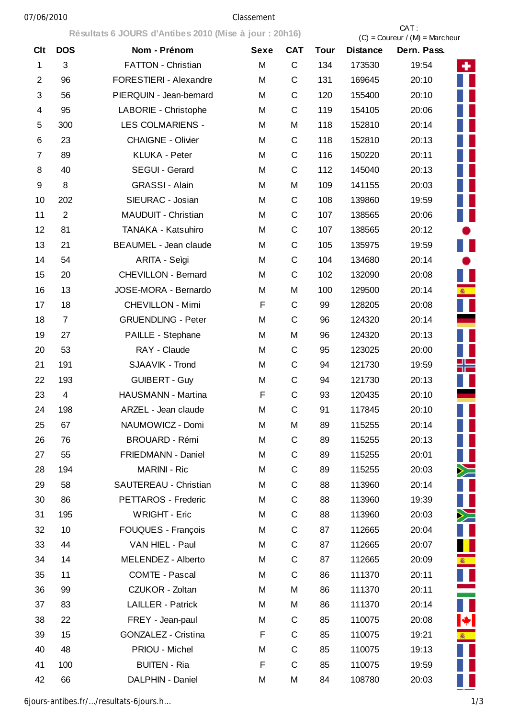## 07/06/2010 Classement

**Résultats 6 JOURS d'Antibes 2010 (Mise à jour : 20h16)** CAT :

|                |                | $R$ is suitated to a political continues zo to this called the solution |             |             |             |                 | $(C) =$ Coureur / $(M) =$ Marcheur |
|----------------|----------------|-------------------------------------------------------------------------|-------------|-------------|-------------|-----------------|------------------------------------|
| <b>Clt</b>     | <b>DOS</b>     | Nom - Prénom                                                            | <b>Sexe</b> | <b>CAT</b>  | <b>Tour</b> | <b>Distance</b> | Dern. Pass.                        |
| $\mathbf{1}$   | 3              | FATTON - Christian                                                      | M           | C           | 134         | 173530          | 19:54<br>٠.                        |
| $\overline{2}$ | 96             | <b>FORESTIERI - Alexandre</b>                                           | M           | $\mathsf C$ | 131         | 169645          | 20:10                              |
| 3              | 56             | PIERQUIN - Jean-bernard                                                 | M           | C           | 120         | 155400          | 20:10                              |
| 4              | 95             | LABORIE - Christophe                                                    | M           | C           | 119         | 154105          | 20:06                              |
| 5              | 300            | <b>LES COLMARIENS -</b>                                                 | M           | M           | 118         | 152810          | 20:14                              |
| 6              | 23             | <b>CHAIGNE - Olivier</b>                                                | M           | C           | 118         | 152810          | 20:13                              |
| 7              | 89             | <b>KLUKA - Peter</b>                                                    | M           | C           | 116         | 150220          | 20:11                              |
| 8              | 40             | SEGUI - Gerard                                                          | M           | C           | 112         | 145040          | 20:13                              |
| 9              | 8              | <b>GRASSI - Alain</b>                                                   | M           | M           | 109         | 141155          | 20:03<br>H                         |
| 10             | 202            | SIEURAC - Josian                                                        | M           | C           | 108         | 139860          | 19:59                              |
| 11             | $\overline{2}$ | MAUDUIT - Christian                                                     | M           | C           | 107         | 138565          | Ш<br>20:06                         |
| 12             | 81             | TANAKA - Katsuhiro                                                      | M           | C           | 107         | 138565          | 20:12                              |
| 13             | 21             | <b>BEAUMEL - Jean claude</b>                                            | M           | C           | 105         | 135975          | II<br>19:59                        |
| 14             | 54             | ARITA - Seìgi                                                           | M           | C           | 104         | 134680          | 20:14<br>$\bullet$                 |
| 15             | 20             | <b>CHEVILLON - Bernard</b>                                              | M           | C           | 102         | 132090          | 20:08<br>U                         |
| 16             | 13             | JOSE-MORA - Bernardo                                                    | M           | M           | 100         | 129500          | 20:14<br><b>图</b>                  |
| 17             | 18             | <b>CHEVILLON - Mimi</b>                                                 | F           | $\mathsf C$ | 99          | 128205          | 20:08                              |
| 18             | $\overline{7}$ | <b>GRUENDLING - Peter</b>                                               | M           | C           | 96          | 124320          | 20:14                              |
| 19             | 27             | PAILLE - Stephane                                                       | M           | M           | 96          | 124320          | 20:13                              |
| 20             | 53             | RAY - Claude                                                            | M           | C           | 95          | 123025          | 20:00                              |
| 21             | 191            | SJAAVIK - Trond                                                         | M           | $\mathsf C$ | 94          | 121730          | 19:59<br>⊫                         |
| 22             | 193            | <b>GUIBERT - Guy</b>                                                    | M           | C           | 94          | 121730          | 20:13                              |
| 23             | $\overline{4}$ | HAUSMANN - Martina                                                      | F           | C           | 93          | 120435          | 20:10                              |
| 24             | 198            | ARZEL - Jean claude                                                     | M           | $\mathsf C$ | 91          | 117845          | 20:10                              |
| 25             | 67             | NAUMOWICZ - Domi                                                        | M           | M           | 89          | 115255          | 20:14                              |
| 26             | 76             | <b>BROUARD - Rémi</b>                                                   | M           | C           | 89          | 115255          | Ш<br>20:13                         |
| 27             | 55             | FRIEDMANN - Daniel                                                      | M           | C           | 89          | 115255          | Ш<br>20:01                         |
| 28             | 194            | <b>MARINI - Ric</b>                                                     | M           | $\mathsf C$ | 89          | 115255          | $\geq$<br>20:03                    |
| 29             | 58             | SAUTEREAU - Christian                                                   | M           | C           | 88          | 113960          | H<br>20:14                         |
| 30             | 86             | PETTAROS - Frederic                                                     | M           | C           | 88          | 113960          | Ш<br>19:39                         |
| 31             | 195            | <b>WRIGHT - Eric</b>                                                    | M           | $\mathsf C$ | 88          | 113960          | $\geq$<br>20:03                    |
| 32             | 10             | FOUQUES - François                                                      | M           | $\mathsf C$ | 87          | 112665          | П<br>20:04                         |
| 33             | 44             | VAN HIEL - Paul                                                         | M           | $\mathsf C$ | 87          | 112665          | 20:07                              |
| 34             | 14             | MELENDEZ - Alberto                                                      | M           | $\mathsf C$ | 87          | 112665          | <b>多一</b><br>20:09                 |
| 35             | 11             | <b>COMTE - Pascal</b>                                                   | M           | $\mathsf C$ | 86          | 111370          | П<br>20:11                         |
| 36             | 99             | CZUKOR - Zoltan                                                         | M           | M           | 86          | 111370          | 20:11                              |
| 37             | 83             | <b>LAILLER - Patrick</b>                                                | M           | M           | 86          | 111370          | 20:14                              |
| 38             | 22             | FREY - Jean-paul                                                        | M           | C           | 85          | 110075          | $ \mathbf{\ast} $<br>20:08         |
| 39             | 15             | GONZALEZ - Cristina                                                     | F           | $\mathsf C$ | 85          | 110075          | 19:21<br><b>图</b>                  |
| 40             | 48             | PRIOU - Michel                                                          | M           | C           | 85          | 110075          | 19:13                              |
| 41             | 100            | <b>BUITEN - Ria</b>                                                     | F           | $\mathsf C$ | 85          | 110075          | 19:59                              |
| 42             | 66             | DALPHIN - Daniel                                                        | M           | M           | 84          | 108780          | 20:03                              |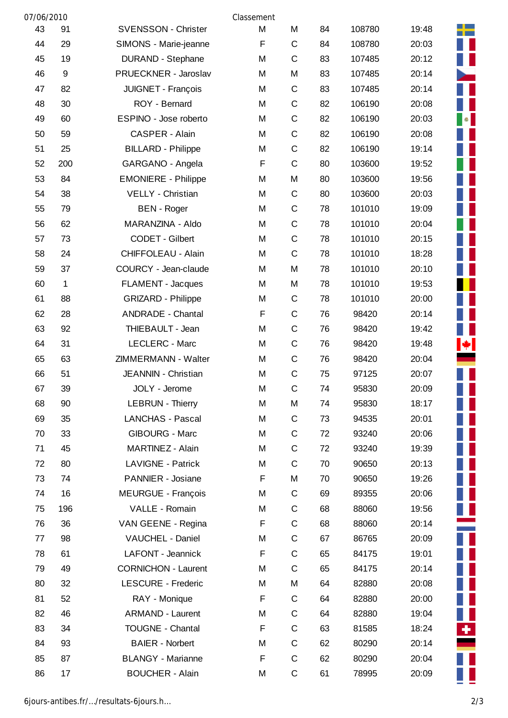| 07/06/2010 |                  |                            | Classement |             |    |        |       |  |
|------------|------------------|----------------------------|------------|-------------|----|--------|-------|--|
| 43         | 91               | <b>SVENSSON - Christer</b> | M          | M           | 84 | 108780 | 19:48 |  |
| 44         | 29               | SIMONS - Marie-jeanne      | F          | C           | 84 | 108780 | 20:03 |  |
| 45         | 19               | <b>DURAND - Stephane</b>   | M          | C           | 83 | 107485 | 20:12 |  |
| 46         | $\boldsymbol{9}$ | PRUECKNER - Jaroslav       | M          | M           | 83 | 107485 | 20:14 |  |
| 47         | 82               | JUIGNET - François         | M          | C           | 83 | 107485 | 20:14 |  |
| 48         | 30               | ROY - Bernard              | M          | $\mathsf C$ | 82 | 106190 | 20:08 |  |
| 49         | 60               | ESPINO - Jose roberto      | M          | C           | 82 | 106190 | 20:03 |  |
| 50         | 59               | CASPER - Alain             | M          | $\mathsf C$ | 82 | 106190 | 20:08 |  |
| 51         | 25               | <b>BILLARD - Philippe</b>  | M          | $\mathsf C$ | 82 | 106190 | 19:14 |  |
| 52         | 200              | GARGANO - Angela           | F          | $\mathsf C$ | 80 | 103600 | 19:52 |  |
| 53         | 84               | <b>EMONIERE - Philippe</b> | M          | M           | 80 | 103600 | 19:56 |  |
| 54         | 38               | VELLY - Christian          | M          | C           | 80 | 103600 | 20:03 |  |
| 55         | 79               | <b>BEN</b> - Roger         | M          | C           | 78 | 101010 | 19:09 |  |
| 56         | 62               | MARANZINA - Aldo           | M          | C           | 78 | 101010 | 20:04 |  |
| 57         | 73               | CODET - Gilbert            | M          | $\mathsf C$ | 78 | 101010 | 20:15 |  |
| 58         | 24               | CHIFFOLEAU - Alain         | M          | C           | 78 | 101010 | 18:28 |  |
| 59         | 37               | COURCY - Jean-claude       | M          | M           | 78 | 101010 | 20:10 |  |
| 60         | 1                | FLAMENT - Jacques          | M          | M           | 78 | 101010 | 19:53 |  |
| 61         | 88               | <b>GRIZARD - Philippe</b>  | M          | C           | 78 | 101010 | 20:00 |  |
| 62         | 28               | <b>ANDRADE - Chantal</b>   | F          | C           | 76 | 98420  | 20:14 |  |
| 63         | 92               | THIEBAULT - Jean           | M          | $\mathsf C$ | 76 | 98420  | 19:42 |  |
| 64         | 31               | <b>LECLERC - Marc</b>      | M          | C           | 76 | 98420  | 19:48 |  |
| 65         | 63               | ZIMMERMANN - Walter        | M          | $\mathsf C$ | 76 | 98420  | 20:04 |  |
| 66         | 51               | JEANNIN - Christian        | M          | C           | 75 | 97125  | 20:07 |  |
| 67         | 39               | JOLY - Jerome              | M          | C           | 74 | 95830  | 20:09 |  |
| 68         | 90               | <b>LEBRUN - Thierry</b>    | M          | M           | 74 | 95830  | 18:17 |  |
| 69         | 35               | <b>LANCHAS - Pascal</b>    | M          | С           | 73 | 94535  | 20:01 |  |
| 70         | 33               | <b>GIBOURG - Marc</b>      | M          | С           | 72 | 93240  | 20:06 |  |
| 71         | 45               | MARTINEZ - Alain           | M          | C           | 72 | 93240  | 19:39 |  |
| 72         | 80               | <b>LAVIGNE - Patrick</b>   | M          | С           | 70 | 90650  | 20:13 |  |
| 73         | 74               | PANNIER - Josiane          | F          | M           | 70 | 90650  | 19:26 |  |
| 74         | 16               | <b>MEURGUE - François</b>  | M          | С           | 69 | 89355  | 20:06 |  |
| 75         | 196              | VALLE - Romain             | M          | С           | 68 | 88060  | 19:56 |  |
| 76         | 36               | VAN GEENE - Regina         | F          | С           | 68 | 88060  | 20:14 |  |
| 77         | 98               | VAUCHEL - Daniel           | M          | C           | 67 | 86765  | 20:09 |  |
| 78         | 61               | <b>LAFONT - Jeannick</b>   | F          | C           | 65 | 84175  | 19:01 |  |
| 79         | 49               | <b>CORNICHON - Laurent</b> | M          | C           | 65 | 84175  | 20:14 |  |
| 80         | 32               | <b>LESCURE - Frederic</b>  | M          | M           | 64 | 82880  | 20:08 |  |
| 81         | 52               | RAY - Monique              | F          | C           | 64 | 82880  | 20:00 |  |
| 82         | 46               | <b>ARMAND - Laurent</b>    | M          | C           | 64 | 82880  | 19:04 |  |
| 83         | 34               | <b>TOUGNE - Chantal</b>    | F          | C           | 63 | 81585  | 18:24 |  |
| 84         | 93               | <b>BAIER</b> - Norbert     | M          | C           | 62 | 80290  | 20:14 |  |
| 85         | 87               | <b>BLANGY - Marianne</b>   | F          | С           | 62 | 80290  | 20:04 |  |
| 86         | 17               | <b>BOUCHER - Alain</b>     | M          | C           | 61 | 78995  | 20:09 |  |